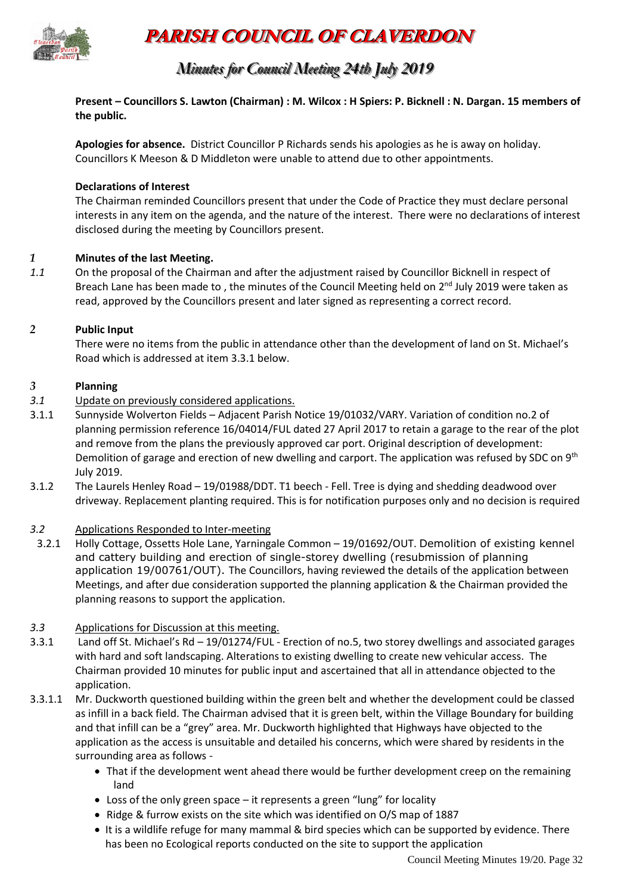

## **PARISH COUNCIL OF CLAVERDON**

### *Minutes for Council Meeting 24th July 2019*

**Present – Councillors S. Lawton (Chairman) : M. Wilcox : H Spiers: P. Bicknell : N. Dargan. 15 members of the public.** 

**Apologies for absence.** District Councillor P Richards sends his apologies as he is away on holiday. Councillors K Meeson & D Middleton were unable to attend due to other appointments.

#### **Declarations of Interest**

The Chairman reminded Councillors present that under the Code of Practice they must declare personal interests in any item on the agenda, and the nature of the interest. There were no declarations of interest disclosed during the meeting by Councillors present.

#### *1* **Minutes of the last Meeting.**

*1.1* On the proposal of the Chairman and after the adjustment raised by Councillor Bicknell in respect of Breach Lane has been made to, the minutes of the Council Meeting held on 2<sup>nd</sup> July 2019 were taken as read, approved by the Councillors present and later signed as representing a correct record.

#### *2* **Public Input**

There were no items from the public in attendance other than the development of land on St. Michael's Road which is addressed at item 3.3.1 below.

#### *3* **Planning**

- *3.1* Update on previously considered applications.
- 3.1.1 Sunnyside Wolverton Fields Adjacent Parish Notice 19/01032/VARY. Variation of condition no.2 of planning permission reference 16/04014/FUL dated 27 April 2017 to retain a garage to the rear of the plot and remove from the plans the previously approved car port. Original description of development: Demolition of garage and erection of new dwelling and carport. The application was refused by SDC on 9<sup>th</sup> July 2019.
- 3.1.2 The Laurels Henley Road 19/01988/DDT. T1 beech Fell. Tree is dying and shedding deadwood over driveway. Replacement planting required. This is for notification purposes only and no decision is required

#### *3.2* Applications Responded to Inter-meeting

- 3.2.1 Holly Cottage, Ossetts Hole Lane, Yarningale Common 19/01692/OUT. Demolition of existing kennel and cattery building and erection of single-storey dwelling (resubmission of planning application 19/00761/OUT). The Councillors, having reviewed the details of the application between Meetings, and after due consideration supported the planning application & the Chairman provided the planning reasons to support the application.
- *3.3* Applications for Discussion at this meeting.
- 3.3.1 Land off St. Michael's Rd 19/01274/FUL Erection of no.5, two storey dwellings and associated garages with hard and soft landscaping. Alterations to existing dwelling to create new vehicular access. The Chairman provided 10 minutes for public input and ascertained that all in attendance objected to the application.
- 3.3.1.1 Mr. Duckworth questioned building within the green belt and whether the development could be classed as infill in a back field. The Chairman advised that it is green belt, within the Village Boundary for building and that infill can be a "grey" area. Mr. Duckworth highlighted that Highways have objected to the application as the access is unsuitable and detailed his concerns, which were shared by residents in the surrounding area as follows -
	- That if the development went ahead there would be further development creep on the remaining land
	- Loss of the only green space it represents a green "lung" for locality
	- Ridge & furrow exists on the site which was identified on O/S map of 1887
	- It is a wildlife refuge for many mammal & bird species which can be supported by evidence. There has been no Ecological reports conducted on the site to support the application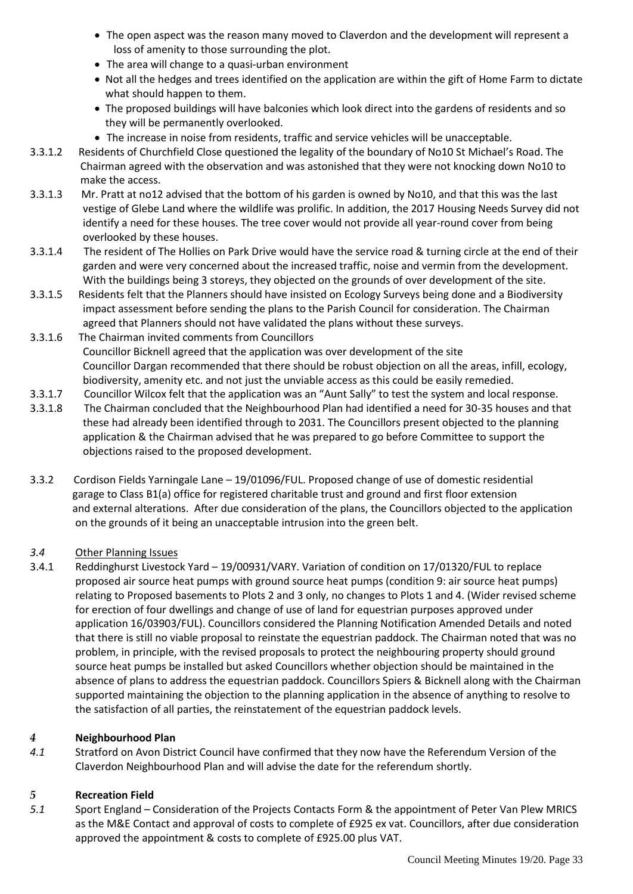- The open aspect was the reason many moved to Claverdon and the development will represent a loss of amenity to those surrounding the plot.
- The area will change to a quasi-urban environment
- Not all the hedges and trees identified on the application are within the gift of Home Farm to dictate what should happen to them.
- The proposed buildings will have balconies which look direct into the gardens of residents and so they will be permanently overlooked.
- The increase in noise from residents, traffic and service vehicles will be unacceptable.
- 3.3.1.2 Residents of Churchfield Close questioned the legality of the boundary of No10 St Michael's Road. The Chairman agreed with the observation and was astonished that they were not knocking down No10 to make the access.
- 3.3.1.3 Mr. Pratt at no12 advised that the bottom of his garden is owned by No10, and that this was the last vestige of Glebe Land where the wildlife was prolific. In addition, the 2017 Housing Needs Survey did not identify a need for these houses. The tree cover would not provide all year-round cover from being overlooked by these houses.
- 3.3.1.4 The resident of The Hollies on Park Drive would have the service road & turning circle at the end of their garden and were very concerned about the increased traffic, noise and vermin from the development. With the buildings being 3 storeys, they objected on the grounds of over development of the site.
- 3.3.1.5 Residents felt that the Planners should have insisted on Ecology Surveys being done and a Biodiversity impact assessment before sending the plans to the Parish Council for consideration. The Chairman agreed that Planners should not have validated the plans without these surveys.
- 3.3.1.6 The Chairman invited comments from Councillors Councillor Bicknell agreed that the application was over development of the site Councillor Dargan recommended that there should be robust objection on all the areas, infill, ecology, biodiversity, amenity etc. and not just the unviable access as this could be easily remedied.
- 3.3.1.7 Councillor Wilcox felt that the application was an "Aunt Sally" to test the system and local response.
- 3.3.1.8 The Chairman concluded that the Neighbourhood Plan had identified a need for 30-35 houses and that these had already been identified through to 2031. The Councillors present objected to the planning application & the Chairman advised that he was prepared to go before Committee to support the objections raised to the proposed development.
- 3.3.2 Cordison Fields Yarningale Lane 19/01096/FUL. Proposed change of use of domestic residential garage to Class B1(a) office for registered charitable trust and ground and first floor extension and external alterations. After due consideration of the plans, the Councillors objected to the application on the grounds of it being an unacceptable intrusion into the green belt.

#### *3.4* Other Planning Issues

3.4.1 Reddinghurst Livestock Yard – 19/00931/VARY. Variation of condition on 17/01320/FUL to replace proposed air source heat pumps with ground source heat pumps (condition 9: air source heat pumps) relating to Proposed basements to Plots 2 and 3 only, no changes to Plots 1 and 4. (Wider revised scheme for erection of four dwellings and change of use of land for equestrian purposes approved under application 16/03903/FUL). Councillors considered the Planning Notification Amended Details and noted that there is still no viable proposal to reinstate the equestrian paddock. The Chairman noted that was no problem, in principle, with the revised proposals to protect the neighbouring property should ground source heat pumps be installed but asked Councillors whether objection should be maintained in the absence of plans to address the equestrian paddock. Councillors Spiers & Bicknell along with the Chairman supported maintaining the objection to the planning application in the absence of anything to resolve to the satisfaction of all parties, the reinstatement of the equestrian paddock levels.

#### *4* **Neighbourhood Plan**

*4.1* Stratford on Avon District Council have confirmed that they now have the Referendum Version of the Claverdon Neighbourhood Plan and will advise the date for the referendum shortly.

#### *5* **Recreation Field**

*5.1* Sport England – Consideration of the Projects Contacts Form & the appointment of Peter Van Plew MRICS as the M&E Contact and approval of costs to complete of £925 ex vat. Councillors, after due consideration approved the appointment & costs to complete of £925.00 plus VAT.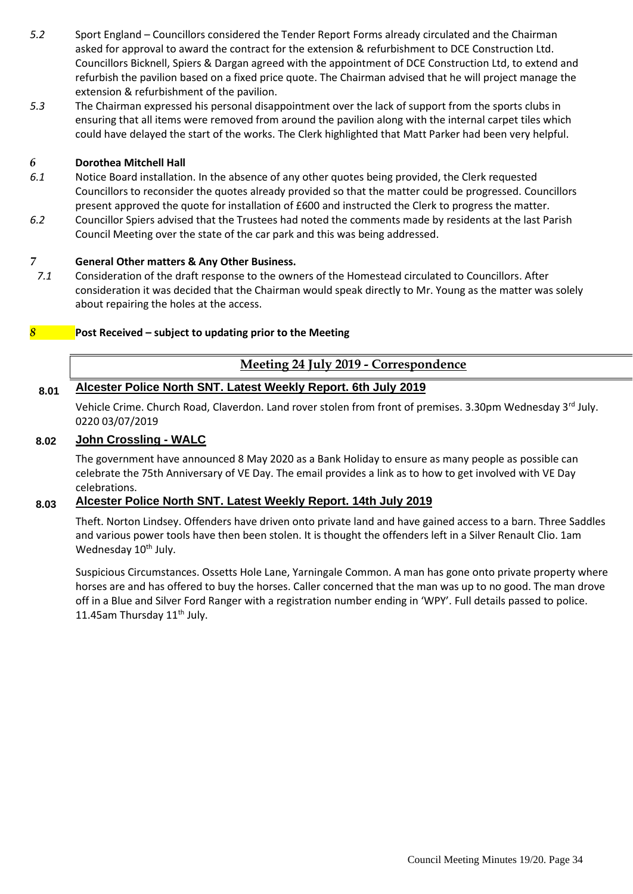- *5.2* Sport England Councillors considered the Tender Report Forms already circulated and the Chairman asked for approval to award the contract for the extension & refurbishment to DCE Construction Ltd. Councillors Bicknell, Spiers & Dargan agreed with the appointment of DCE Construction Ltd, to extend and refurbish the pavilion based on a fixed price quote. The Chairman advised that he will project manage the extension & refurbishment of the pavilion.
- *5.3* The Chairman expressed his personal disappointment over the lack of support from the sports clubs in ensuring that all items were removed from around the pavilion along with the internal carpet tiles which could have delayed the start of the works. The Clerk highlighted that Matt Parker had been very helpful.

#### *6* **Dorothea Mitchell Hall**

- *6.1* Notice Board installation. In the absence of any other quotes being provided, the Clerk requested Councillors to reconsider the quotes already provided so that the matter could be progressed. Councillors present approved the quote for installation of £600 and instructed the Clerk to progress the matter.
- *6.2* Councillor Spiers advised that the Trustees had noted the comments made by residents at the last Parish Council Meeting over the state of the car park and this was being addressed.

#### *7* **General Other matters & Any Other Business.**

*7.1* Consideration of the draft response to the owners of the Homestead circulated to Councillors. After consideration it was decided that the Chairman would speak directly to Mr. Young as the matter was solely about repairing the holes at the access.

#### *8* **Post Received – subject to updating prior to the Meeting**

#### **Meeting 24 July 2019 - Correspondence**

#### **8.01 Alcester Police North SNT. Latest Weekly Report. 6th July 2019**

Vehicle Crime. Church Road, Claverdon. Land rover stolen from front of premises. 3.30pm Wednesday 3<sup>rd</sup> July. 0220 03/07/2019

#### **8.02 John Crossling - WALC**

The government have announced 8 May 2020 as a Bank Holiday to ensure as many people as possible can celebrate the 75th Anniversary of VE Day. The email provides a link as to how to get involved with VE Day celebrations.

#### **8.03 Alcester Police North SNT. Latest Weekly Report. 14th July 2019**

Theft. Norton Lindsey. Offenders have driven onto private land and have gained access to a barn. Three Saddles and various power tools have then been stolen. It is thought the offenders left in a Silver Renault Clio. 1am Wednesday 10<sup>th</sup> July.

Suspicious Circumstances. Ossetts Hole Lane, Yarningale Common. A man has gone onto private property where horses are and has offered to buy the horses. Caller concerned that the man was up to no good. The man drove off in a Blue and Silver Ford Ranger with a registration number ending in 'WPY'. Full details passed to police. 11.45am Thursday 11<sup>th</sup> July.